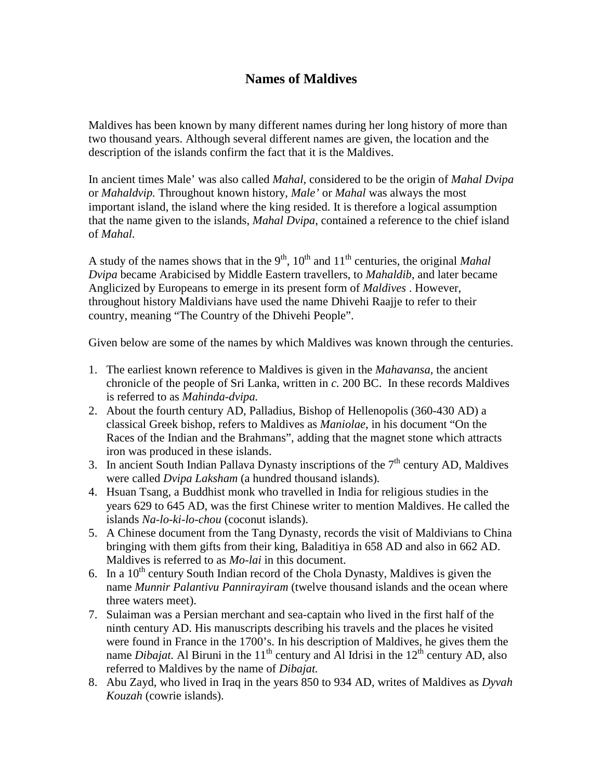## **Names of Maldives**

Maldives has been known by many different names during her long history of more than two thousand years. Although several different names are given, the location and the description of the islands confirm the fact that it is the Maldives.

In ancient times Male' was also called *Mahal*, considered to be the origin of *Mahal Dvipa*  or *Mahaldvip.* Throughout known history, *Male'* or *Mahal* was always the most important island, the island where the king resided. It is therefore a logical assumption that the name given to the islands, *Mahal Dvipa,* contained a reference to the chief island of *Mahal.*

A study of the names shows that in the 9<sup>th</sup>, 10<sup>th</sup> and 11<sup>th</sup> centuries, the original *Mahal Dvipa* became Arabicised by Middle Eastern travellers, to *Mahaldib*, and later became Anglicized by Europeans to emerge in its present form of *Maldives* . However, throughout history Maldivians have used the name Dhivehi Raajje to refer to their country, meaning "The Country of the Dhivehi People".

Given below are some of the names by which Maldives was known through the centuries.

- 1. The earliest known reference to Maldives is given in the *Mahavansa,* the ancient chronicle of the people of Sri Lanka, written in *c.* 200 BC. In these records Maldives is referred to as *Mahinda-dvipa.*
- 2. About the fourth century AD, Palladius, Bishop of Hellenopolis (360-430 AD) a classical Greek bishop, refers to Maldives as *Maniolae*, in his document "On the Races of the Indian and the Brahmans", adding that the magnet stone which attracts iron was produced in these islands.
- 3. In ancient South Indian Pallava Dynasty inscriptions of the  $7<sup>th</sup>$  century AD, Maldives were called *Dvipa Laksham* (a hundred thousand islands)*.*
- 4. Hsuan Tsang, a Buddhist monk who travelled in India for religious studies in the years 629 to 645 AD, was the first Chinese writer to mention Maldives. He called the islands *Na-lo-ki-lo-chou* (coconut islands).
- 5. A Chinese document from the Tang Dynasty, records the visit of Maldivians to China bringing with them gifts from their king, Baladitiya in 658 AD and also in 662 AD. Maldives is referred to as *Mo-lai* in this document.
- 6. In a  $10^{th}$  century South Indian record of the Chola Dynasty, Maldives is given the name *Munnir Palantivu Pannirayiram* (twelve thousand islands and the ocean where three waters meet).
- 7. Sulaiman was a Persian merchant and sea-captain who lived in the first half of the ninth century AD. His manuscripts describing his travels and the places he visited were found in France in the 1700's. In his description of Maldives, he gives them the name *Dibajat*. Al Biruni in the  $11<sup>th</sup>$  century and Al Idrisi in the  $12<sup>th</sup>$  century AD, also referred to Maldives by the name of *Dibajat.*
- 8. Abu Zayd, who lived in Iraq in the years 850 to 934 AD, writes of Maldives as *Dyvah Kouzah* (cowrie islands).